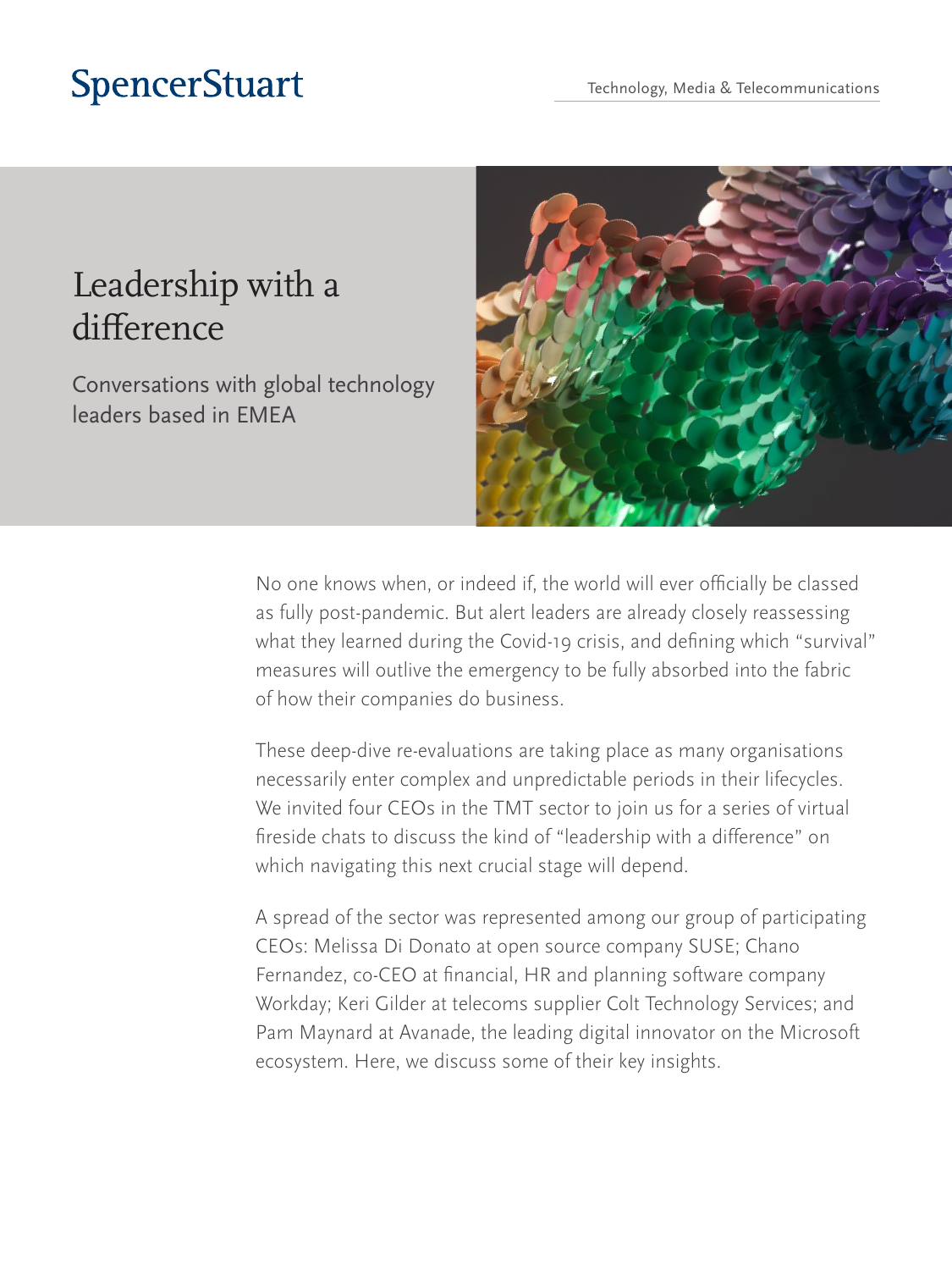## **SpencerStuart**

## Leadership with a difference

Conversations with global technology leaders based in EMEA



No one knows when, or indeed if, the world will ever officially be classed as fully post-pandemic. But alert leaders are already closely reassessing what they learned during the Covid-19 crisis, and defining which "survival" measures will outlive the emergency to be fully absorbed into the fabric of how their companies do business.

These deep-dive re-evaluations are taking place as many organisations necessarily enter complex and unpredictable periods in their lifecycles. We invited four CEOs in the TMT sector to join us for a series of virtual fireside chats to discuss the kind of "leadership with a difference" on which navigating this next crucial stage will depend.

A spread of the sector was represented among our group of participating CEOs: Melissa Di Donato at open source company SUSE; Chano Fernandez, co-CEO at financial, HR and planning software company Workday; Keri Gilder at telecoms supplier Colt Technology Services; and Pam Maynard at Avanade, the leading digital innovator on the Microsoft ecosystem. Here, we discuss some of their key insights.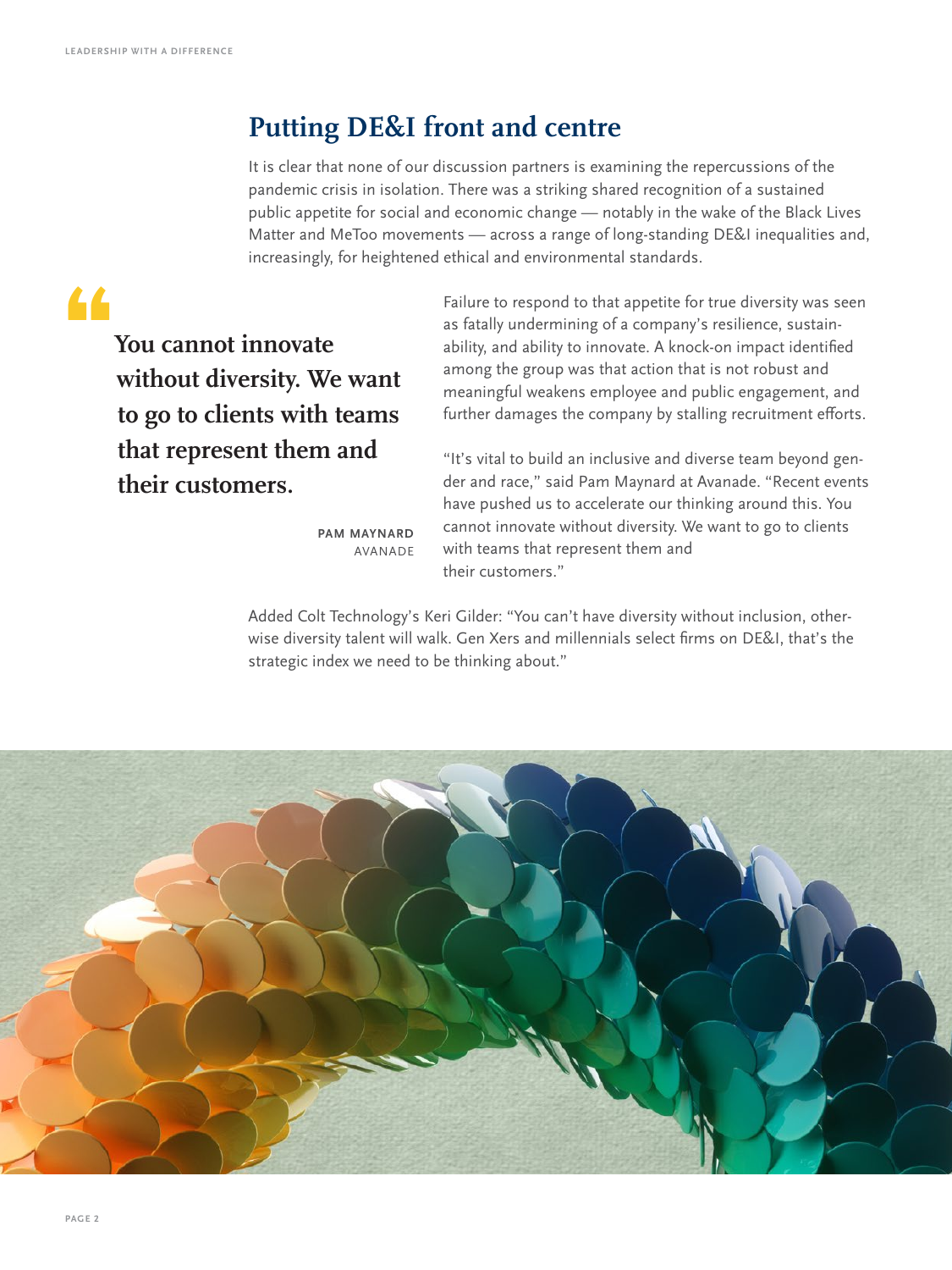### **Putting DE&I front and centre**

It is clear that none of our discussion partners is examining the repercussions of the pandemic crisis in isolation. There was a striking shared recognition of a sustained public appetite for social and economic change — notably in the wake of the Black Lives Matter and MeToo movements — across a range of long-standing DE&I inequalities and, increasingly, for heightened ethical and environmental standards.

# •

**You cannot innovate without diversity. We want to go to clients with teams that represent them and their customers.**

Failure to respond to that appetite for true diversity was seen as fatally undermining of a company's resilience, sustainability, and ability to innovate. A knock-on impact identified among the group was that action that is not robust and meaningful weakens employee and public engagement, and further damages the company by stalling recruitment efforts.

"It's vital to build an inclusive and diverse team beyond gender and race," said Pam Maynard at Avanade. "Recent events have pushed us to accelerate our thinking around this. You cannot innovate without diversity. We want to go to clients with teams that represent them and their customers."

**PAM MAYNARD** AVANADE

Added Colt Technology's Keri Gilder: "You can't have diversity without inclusion, otherwise diversity talent will walk. Gen Xers and millennials select firms on DE&I, that's the strategic index we need to be thinking about."

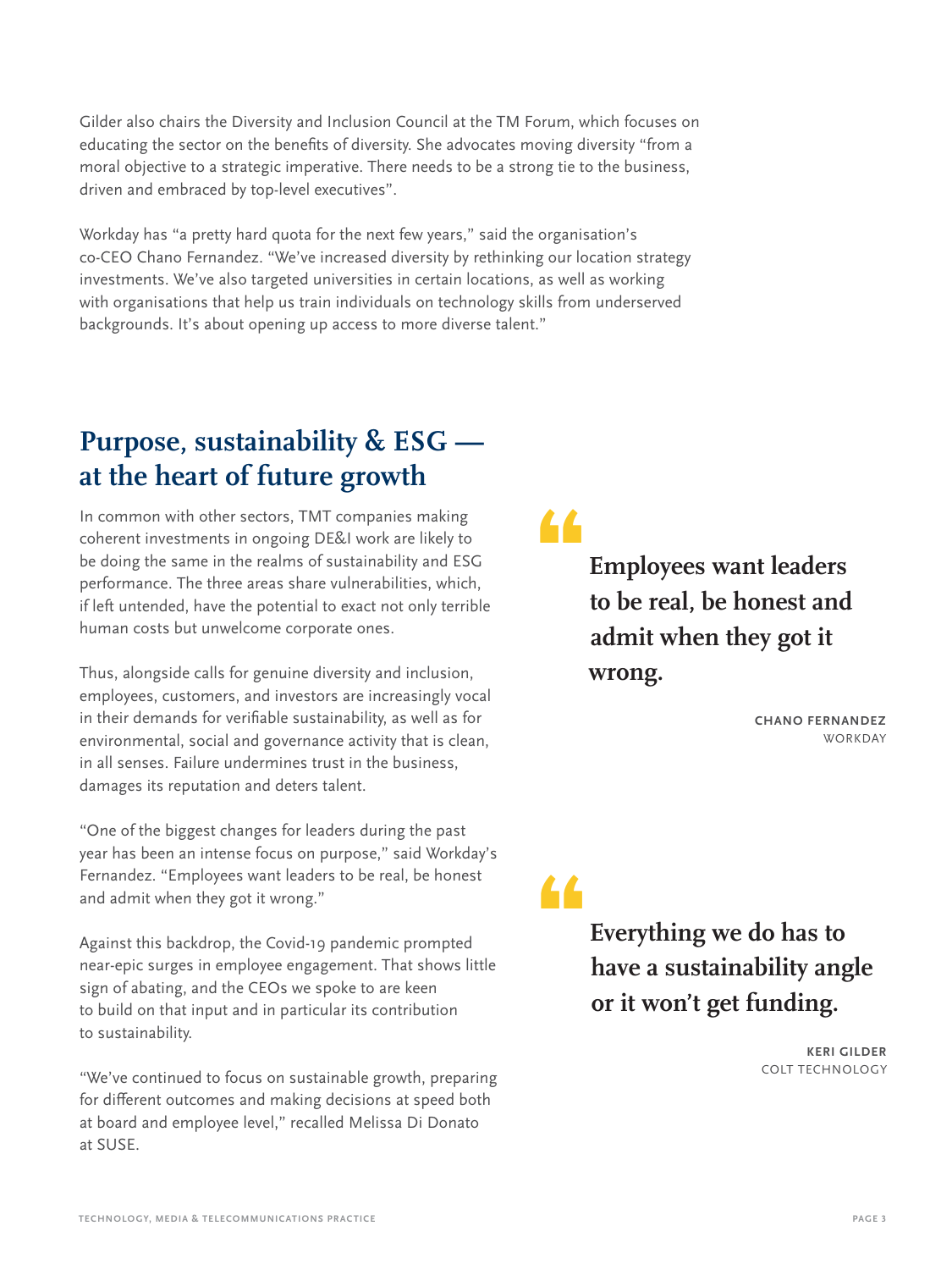Gilder also chairs the Diversity and Inclusion Council at the TM Forum, which focuses on educating the sector on the benefits of diversity. She advocates moving diversity "from a moral objective to a strategic imperative. There needs to be a strong tie to the business, driven and embraced by top-level executives".

Workday has "a pretty hard quota for the next few years," said the organisation's co-CEO Chano Fernandez. "We've increased diversity by rethinking our location strategy investments. We've also targeted universities in certain locations, as well as working with organisations that help us train individuals on technology skills from underserved backgrounds. It's about opening up access to more diverse talent."

### **Purpose, sustainability & ESG at the heart of future growth**

In common with other sectors, TMT companies making coherent investments in ongoing DE&I work are likely to be doing the same in the realms of sustainability and ESG performance. The three areas share vulnerabilities, which, if left untended, have the potential to exact not only terrible human costs but unwelcome corporate ones.

Thus, alongside calls for genuine diversity and inclusion, employees, customers, and investors are increasingly vocal in their demands for verifiable sustainability, as well as for environmental, social and governance activity that is clean, in all senses. Failure undermines trust in the business, damages its reputation and deters talent.

"One of the biggest changes for leaders during the past year has been an intense focus on purpose," said Workday's Fernandez. "Employees want leaders to be real, be honest and admit when they got it wrong."

Against this backdrop, the Covid-19 pandemic prompted near-epic surges in employee engagement. That shows little sign of abating, and the CEOs we spoke to are keen to build on that input and in particular its contribution to sustainability.

"We've continued to focus on sustainable growth, preparing for different outcomes and making decisions at speed both at board and employee level," recalled Melissa Di Donato at SUSE.

•

•

**Employees want leaders to be real, be honest and admit when they got it wrong.**

> **CHANO FERNANDEZ** WORKDAY

**Everything we do has to have a sustainability angle or it won't get funding.** 

> **KERI GILDER** COLT TECHNOLOGY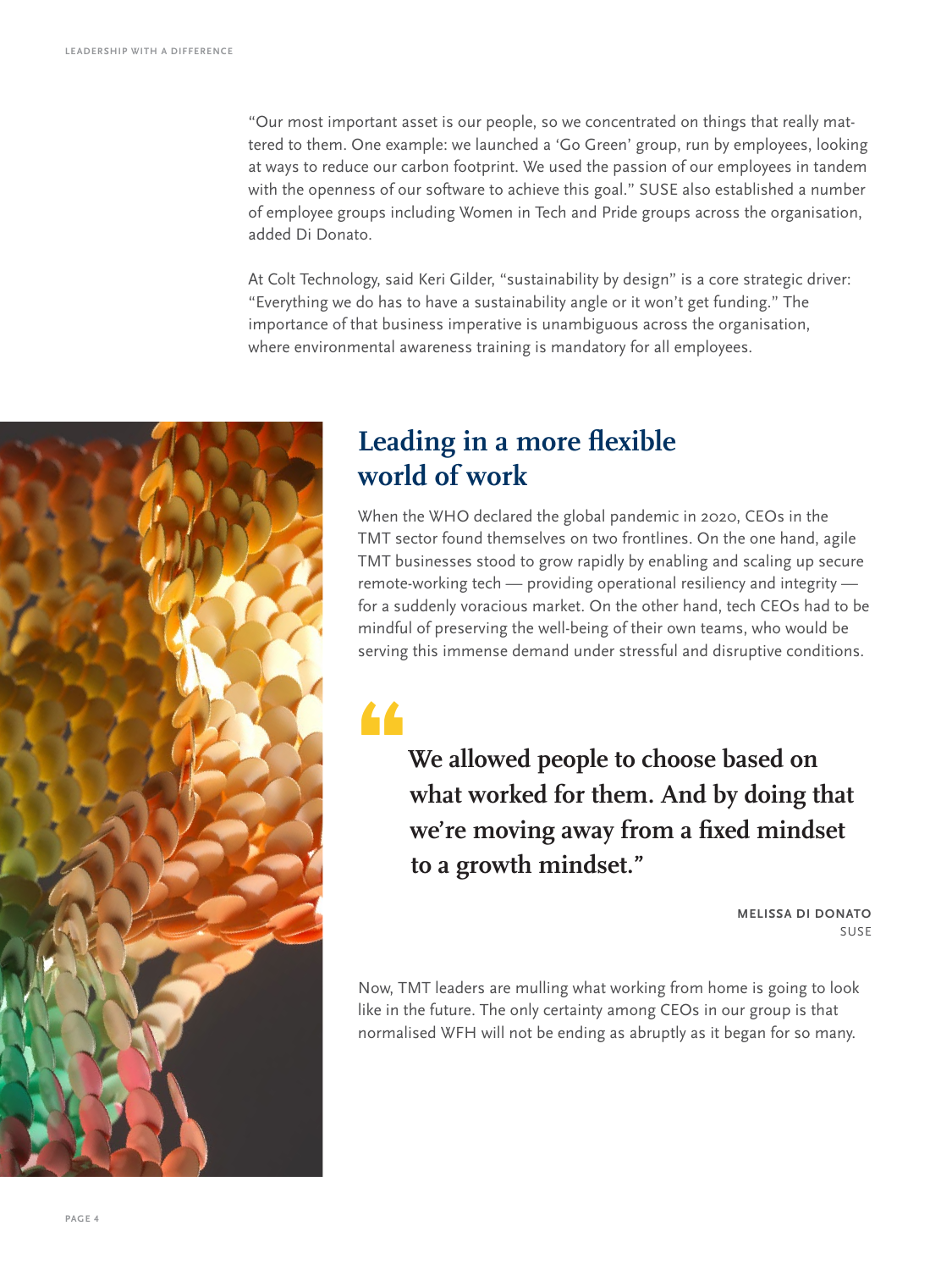"Our most important asset is our people, so we concentrated on things that really mattered to them. One example: we launched a 'Go Green' group, run by employees, looking at ways to reduce our carbon footprint. We used the passion of our employees in tandem with the openness of our software to achieve this goal." SUSE also established a number of employee groups including Women in Tech and Pride groups across the organisation, added Di Donato.

At Colt Technology, said Keri Gilder, "sustainability by design" is a core strategic driver: "Everything we do has to have a sustainability angle or it won't get funding." The importance of that business imperative is unambiguous across the organisation, where environmental awareness training is mandatory for all employees.



### **Leading in a more flexible world of work**

When the WHO declared the global pandemic in 2020, CEOs in the TMT sector found themselves on two frontlines. On the one hand, agile TMT businesses stood to grow rapidly by enabling and scaling up secure remote-working tech — providing operational resiliency and integrity for a suddenly voracious market. On the other hand, tech CEOs had to be mindful of preserving the well-being of their own teams, who would be serving this immense demand under stressful and disruptive conditions.

•

**We allowed people to choose based on what worked for them. And by doing that we're moving away from a fixed mindset to a growth mindset."**

> **MELISSA DI DONATO**  SUSE

Now, TMT leaders are mulling what working from home is going to look like in the future. The only certainty among CEOs in our group is that normalised WFH will not be ending as abruptly as it began for so many.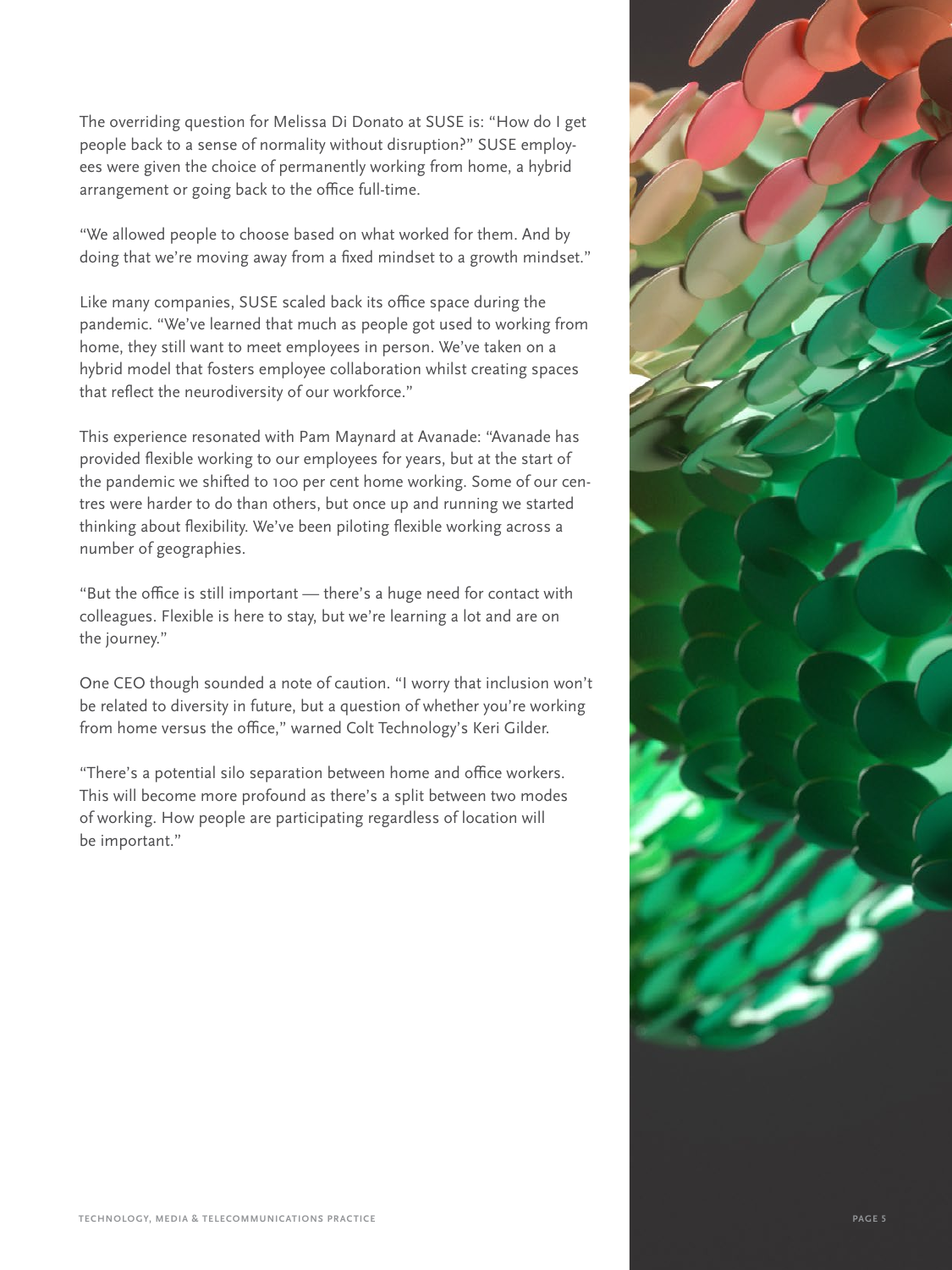The overriding question for Melissa Di Donato at SUSE is: "How do I get people back to a sense of normality without disruption?" SUSE employees were given the choice of permanently working from home, a hybrid arrangement or going back to the office full-time.

"We allowed people to choose based on what worked for them. And by doing that we're moving away from a fixed mindset to a growth mindset."

Like many companies, SUSE scaled back its office space during the pandemic. "We've learned that much as people got used to working from home, they still want to meet employees in person. We've taken on a hybrid model that fosters employee collaboration whilst creating spaces that reflect the neurodiversity of our workforce."

This experience resonated with Pam Maynard at Avanade: "Avanade has provided flexible working to our employees for years, but at the start of the pandemic we shifted to 100 per cent home working. Some of our centres were harder to do than others, but once up and running we started thinking about flexibility. We've been piloting flexible working across a number of geographies.

"But the office is still important — there's a huge need for contact with colleagues. Flexible is here to stay, but we're learning a lot and are on the journey."

One CEO though sounded a note of caution. "I worry that inclusion won't be related to diversity in future, but a question of whether you're working from home versus the office," warned Colt Technology's Keri Gilder.

"There's a potential silo separation between home and office workers. This will become more profound as there's a split between two modes of working. How people are participating regardless of location will be important."

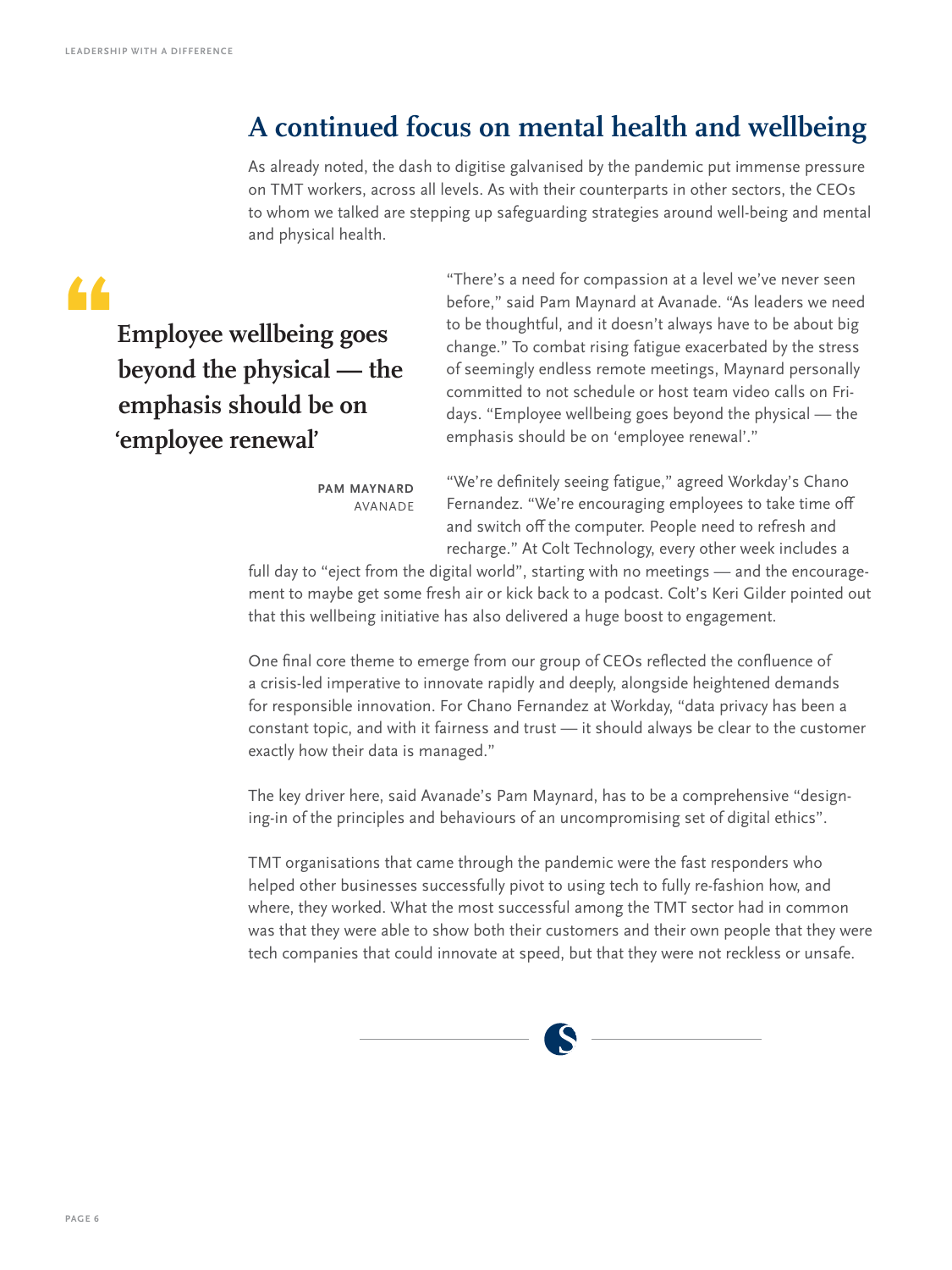## **A continued focus on mental health and wellbeing**

As already noted, the dash to digitise galvanised by the pandemic put immense pressure on TMT workers, across all levels. As with their counterparts in other sectors, the CEOs to whom we talked are stepping up safeguarding strategies around well-being and mental and physical health.

# •

**Employee wellbeing goes beyond the physical — the emphasis should be on 'employee renewal'**

"There's a need for compassion at a level we've never seen before," said Pam Maynard at Avanade. "As leaders we need to be thoughtful, and it doesn't always have to be about big change." To combat rising fatigue exacerbated by the stress of seemingly endless remote meetings, Maynard personally committed to not schedule or host team video calls on Fridays. "Employee wellbeing goes beyond the physical — the emphasis should be on 'employee renewal'."

**PAM MAYNARD**  AVANADE "We're definitely seeing fatigue," agreed Workday's Chano Fernandez. "We're encouraging employees to take time off and switch off the computer. People need to refresh and recharge." At Colt Technology, every other week includes a

full day to "eject from the digital world", starting with no meetings — and the encouragement to maybe get some fresh air or kick back to a podcast. Colt's Keri Gilder pointed out that this wellbeing initiative has also delivered a huge boost to engagement.

One final core theme to emerge from our group of CEOs reflected the confluence of a crisis-led imperative to innovate rapidly and deeply, alongside heightened demands for responsible innovation. For Chano Fernandez at Workday, "data privacy has been a constant topic, and with it fairness and trust — it should always be clear to the customer exactly how their data is managed."

The key driver here, said Avanade's Pam Maynard, has to be a comprehensive "designing-in of the principles and behaviours of an uncompromising set of digital ethics".

TMT organisations that came through the pandemic were the fast responders who helped other businesses successfully pivot to using tech to fully re-fashion how, and where, they worked. What the most successful among the TMT sector had in common was that they were able to show both their customers and their own people that they were tech companies that could innovate at speed, but that they were not reckless or unsafe.

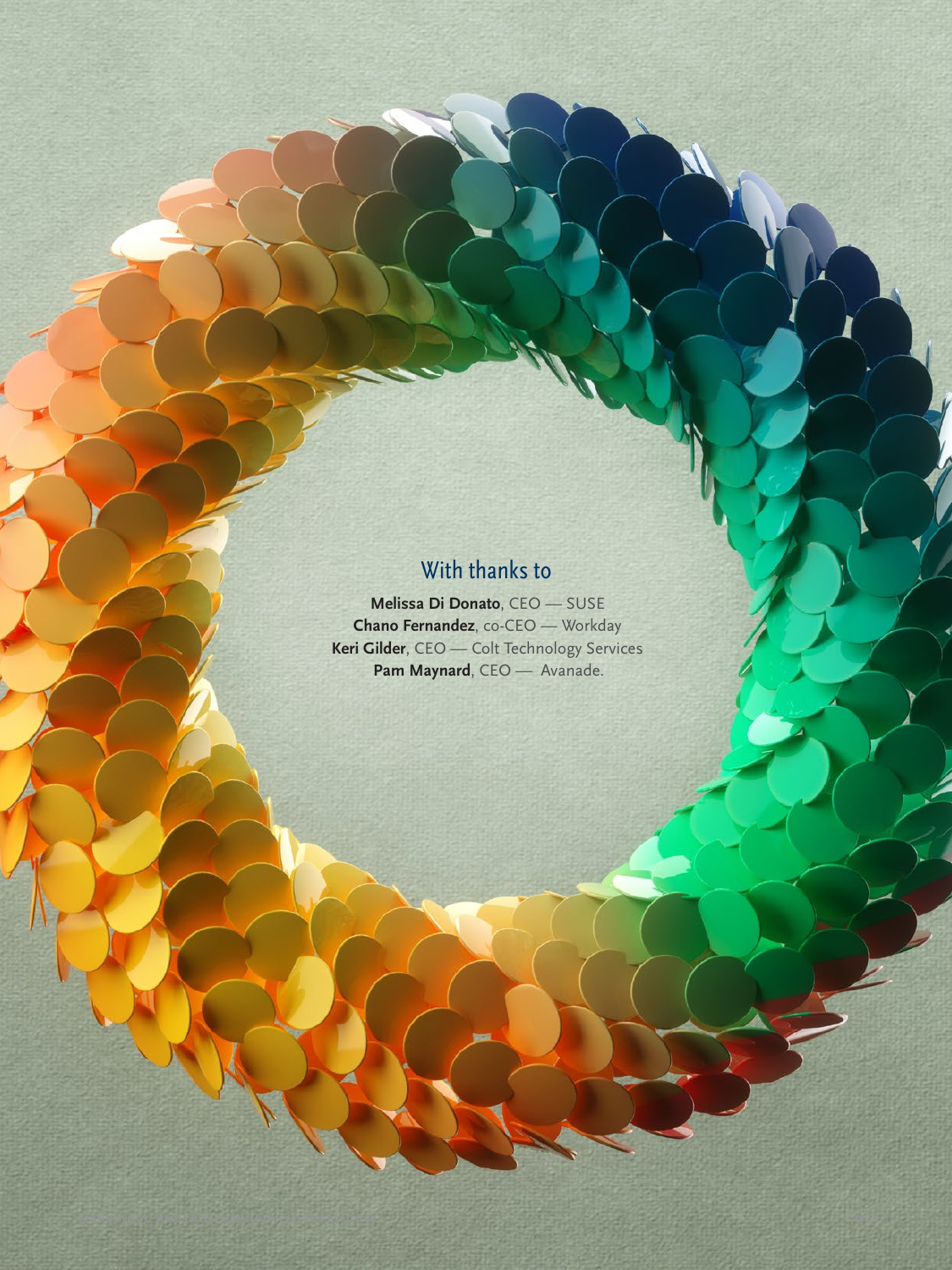#### With thanks to

**Melissa Di Donato**, CEO — SUSE **Chano Fernandez**, co-CEO — Workday **Keri Gilder**, CEO — Colt Technology Services Pam Maynard, CEO — Avanade.